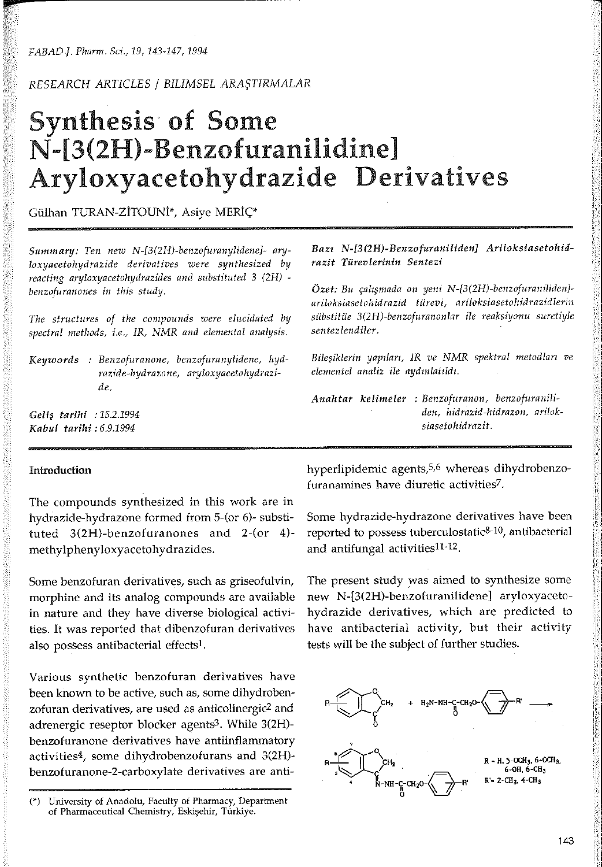FABAD J. Pharm. Sci., 19, 143-147, 1994

RESEARCH ARTICLES / BILIMSEL ARASTIRMALAR

# **Synthesis of Some** N-[3(2H)-Benzofuranilidine] Aryloxyacetohydrazide Derivatives

Gülhan TURAN-ZİTOUNİ\*, Asiye MERİÇ\*

Summary: Ten new N-[3(2H)-benzofuranylidene]- aryloxyacetohydrazide derivatives were synthesized by reacting aryloxyacetohydrazides and substituted 3 (2H) benzofuranones in this study.

The structures of the compounds were elucidated by spectral methods, i.e., IR, NMR and elemental analysis.

Keywords : Benzofuranone, benzofuranylidene, hydrazide-hydrazone, aryloxyacetohydrazide.

Gelis tarihi : 15.2.1994 Kabul tarihi: 6.9.1994

# Introduction

The compounds synthesized in this work are in hydrazide-hydrazone formed from 5-(or 6)- substituted 3(2H)-benzofuranones and 2-(or 4)methylphenyloxyacetohydrazides.

Some benzofuran derivatives, such as griseofulvin, morphine and its analog compounds are available in nature and they have diverse biological activities. It was reported that dibenzofuran derivatives also possess antibacterial effects<sup>1</sup>.

Various synthetic benzofuran derivatives have been known to be active, such as, some dihydrobenzofuran derivatives, are used as anticolinergic<sup>2</sup> and adrenergic reseptor blocker agents<sup>3</sup>. While 3(2H)benzofuranone derivatives have antiinflammatory activities<sup>4</sup>, some dihydrobenzofurans and 3(2H)benzofuranone-2-carboxylate derivatives are antiBazı N-[3(2H)-Benzofuraniliden] Ariloksiasetohidrazit Türevlerinin Sentezi

Özet: Bu çalışmada on yeni N-[3(2H)-benzofuraniliden]ariloksiasetohidrazid türevi, ariloksiasetohidrazidlerin sübstitüe 3(2H)-benzofuranonlar ile reaksiyonu suretiyle sentezlendiler.

Bileşiklerin yapıları, IR ve NMR spektral metodları ve elementel analiz ile aydınlatıldı.

Anahtar kelimeler : Benzofuranon, benzofuraniliden, hidrazid-hidrazon, ariloksiasetohidrazit.

hyperlipidemic agents,<sup>5,6</sup> whereas dihydrobenzofuranamines have diuretic activities7.

Some hydrazide-hydrazone derivatives have been reported to possess tuberculostatic<sup>8-10</sup>, antibacterial and antifungal activities<sup>11-12</sup>.

The present study was aimed to synthesize some new N-[3(2H)-benzofuranilidene] aryloxyacetohydrazide derivatives, which are predicted to have antibacterial activity, but their activity tests will be the subject of further studies.



<sup>(\*)</sup> University of Anadolu, Faculty of Pharmacy, Department of Pharmaceutical Chemistry, Eskisehir, Türkiye.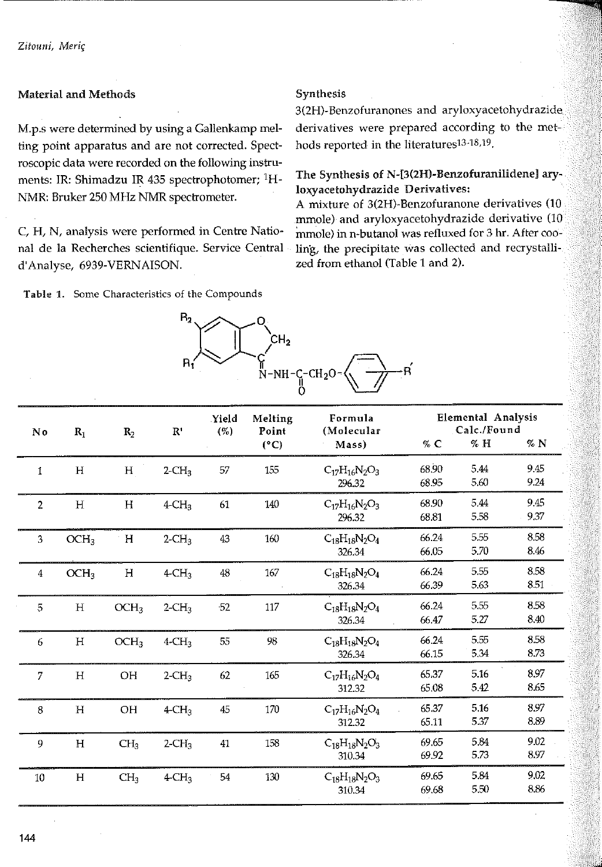## **Material and Methods**

M.p.s were determined by using a Gallenkamp melting point apparatus and are not corrected. Spectroscopic data were recorded on the following instruments: IR: Shimadzu IR 435 spectrophotomer; <sup>1</sup>H-NMR: Bruker 250 MHz NMR spectrometer.

C, H, N, analysis were performed in Centre National de la Recherches scientifique. Service Central d'Analyse, 6939-VERNAISON.

Table 1. Some Characteristics of the Compounds

## Synthesis

3(2H)-Benzofuranones and aryloxyacetohydrazide derivatives were prepared according to the methods reported in the literatures<sup>13-18,19</sup>.

# The Synthesis of N-[3(2H)-Benzofuranilidene] aryloxyacetohydrazide Derivatives:

A mixture of 3(2H)-Benzofuranone derivatives (10 mmole) and aryloxyacetohydrazide derivative (10 mmole) in n-butanol was refluxed for 3 hr. After cooling, the precipitate was collected and recrystallized from ethanol (Table 1 and 2).

| $H_2$ | م1                      |  |
|-------|-------------------------|--|
|       | $N-NH-C-CH2O-\langle v$ |  |
|       |                         |  |

| No             | $R_1$            | $R_2$            | $\mathbf{R}^*$       | Yield<br>(% | Melting<br>Point | Formula<br>(Molecular          | Elemental Analysis<br>Calc./Found |              |              |
|----------------|------------------|------------------|----------------------|-------------|------------------|--------------------------------|-----------------------------------|--------------|--------------|
|                |                  |                  |                      |             | $(^{\circ}C)$    | Mass)                          | $\%$ C                            | $\%$ H       | $\%$ N       |
| $\mathbf{1}$   | H                | H                | $2$ -CH <sub>3</sub> | 57          | 155              | $C_{17}H_{16}N_2O_3$<br>296.32 | 68.90<br>68.95                    | 5.44<br>5.60 | 9.45<br>9.24 |
| $\overline{2}$ | $\rm H$          | H                | $4$ -CH <sub>3</sub> | 61          | 140              | $C_{17}H_{16}N_2O_3$<br>296.32 | 68.90<br>68.81                    | 544<br>5.58  | 9.45<br>9.37 |
| 3              | OCH <sub>3</sub> | H                | $2$ -CH <sub>3</sub> | 43          | 160              | $C_{18}H_{18}N_2O_4$<br>326.34 | 66.24<br>66.05                    | 5.55<br>570  | 8.58<br>8.46 |
| 4              | OCH <sub>3</sub> | H                | $4$ -CH <sub>3</sub> | 48          | 167              | $C_{18}H_{18}N_2O_4$<br>326.34 | 66.24<br>66.39                    | 5.55<br>5.63 | 8.58<br>8.51 |
| 5              | $\rm H$          | OCH <sub>3</sub> | $2$ -CH <sub>3</sub> | $-52$       | 117              | $C_{18}H_{18}N_2O_4$<br>326.34 | 66.24<br>66.47                    | 5.55<br>5.27 | 8.58<br>8.40 |
| 6              | $\mathbf H$      | OCH <sub>3</sub> | $4$ -CH <sub>3</sub> | 55          | 98               | $C_{18}H_{18}N_2O_4$<br>326.34 | 66.24<br>66.15                    | 5.55<br>5.34 | 8.58<br>8.73 |
| $\overline{7}$ | H                | OH               | $2$ -CH <sub>3</sub> | 62          | 165              | $C_{17}H_{16}N_2O_4$<br>312.32 | 65.37<br>65.08                    | 5.16<br>5.42 | 8.97<br>8.65 |
| 8              | $\mathbf H$      | OH               | $4$ -CH <sub>3</sub> | 45          | 170              | $C_{17}H_{16}N_2O_4$<br>312.32 | 65.37<br>65.11                    | 5.16<br>537  | 8.97<br>8.89 |
| 9              | H                | CH <sub>3</sub>  | $2$ -CH <sub>3</sub> | 41          | 158              | $C_{18}H_{18}N_2O_3$<br>310.34 | 69.65<br>69.92                    | 584<br>5.73  | 9.02<br>8.97 |
| $10\,$         | H                | CH <sub>3</sub>  | $4\text{CH}_3$       | 54          | 130              | $C_{18}H_{18}N_2O_3$<br>310.34 | 69.65<br>69.68                    | 5.84<br>5.50 | 9.02<br>8.86 |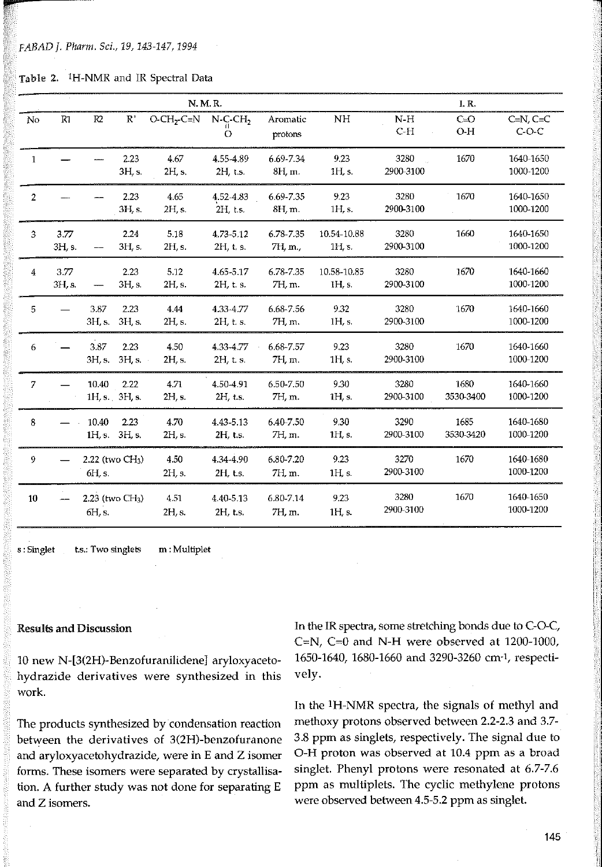**it"** 

|  | Table 2. <sup>1</sup> H-NMR and IR Spectral Data |  |  |  |  |
|--|--------------------------------------------------|--|--|--|--|
|--|--------------------------------------------------|--|--|--|--|

|                | N. M. R.       |                                       |                |                |                           |                      |                         |                   | I. R.             |                           |
|----------------|----------------|---------------------------------------|----------------|----------------|---------------------------|----------------------|-------------------------|-------------------|-------------------|---------------------------|
| No             | R1             | R <sub>2</sub>                        | $\mathbb R$    | $O-CH2-C=N$    | $N$ -C-C $H_2$<br>$\circ$ | Aromatic<br>protons  | NH                      | $N-H$<br>$C-H$    | $C = O$<br>$O-H$  | $C=N$ , $C=C$<br>$C$ -O-C |
| $\mathbf{1}$   |                |                                       | 2.23<br>3H, s. | 4.67<br>2H, s. | 4.55-4.89<br>$2H$ , t.s.  | 6.69-7.34<br>8H, m.  | 9.23<br>1H, s           | 3280<br>2900-3100 | 1670              | 1640-1650<br>1000-1200    |
| $\overline{2}$ |                |                                       | 2.23<br>3H, s. | 4.65<br>2H, s. | 4.52-4.83<br>2H, t.s.     | 6.69-7.35<br>8H, m.  | 9.23<br>1H, s.          | 3280<br>2900-3100 | 1670              | 1640-1650<br>1000-1200    |
| 3              | 3.77<br>3H, s. |                                       | 2.24<br>3H, s. | 5.18<br>2H, s. | 4 73 - 5 12<br>2H, t. s.  | 6.78-7.35<br>7H, m., | 10.54-10.88<br>1H, s.   | 3280<br>2900-3100 | 1660              | 1640-1650<br>1000-1200    |
| 4              | 3.77<br>3H, s. |                                       | 2.23<br>3H, s. | 5.12<br>2H, s. | 4.65-5.17<br>2H t. s.     | 6.78-7.35<br>7H, m.  | 10.58-10.85<br>1H, s.   | 3280<br>2900-3100 | 1670              | 1640-1660<br>1000-1200    |
| 5              |                | 3.87<br>3H, s.                        | 2.23<br>3H, s. | 4.44<br>2H, s. | 4.33-4.77<br>2H, t. s.    | 6.68-7.56<br>7H, m.  | 9.32<br>1H, s.          | 3280<br>2900-3100 | 1670              | 1640-1660<br>1000-1200    |
| 6              |                | 3.87<br>3H, s.                        | 2.23<br>3H, s. | 4.50<br>2H, s. | 4 3 3 4 7 7<br>2H, t. s.  | 6.68-7.57<br>7H, m.  | 9.23<br>1H s.           | 3280<br>2900-3100 | 1670              | 1640-1660<br>1000-1200    |
| $\overline{7}$ |                | 10.40<br>1H, s. 3H, s.                | 2.22           | 4.71<br>2H, s. | 4.50-4.91<br>2H, t.s.     | 6.50-7.50<br>7H, m.  | 9.30<br>1H, s.          | 3280<br>2900-3100 | 1680<br>3530-3400 | 1640-1660<br>1000-1200    |
| 8              |                | 10.40<br>1H, s. 3H, s.                | 2.23           | 4.70<br>2H, s. | 4.43-5.13<br>2H, t.s.     | 6.40-7.50<br>7H, m.  | 9.30<br>1H, s.          | 3290<br>2900-3100 | 1685<br>3530-3420 | 1640-1680<br>1000-1200    |
| 9              |                | 2.22 (two CH <sub>3</sub> )<br>6H, s. |                | 4.50<br>2H, s. | 4.34-4.90<br>2H, t.s.     | 6.80-7.20<br>7H, m.  | 9.23<br>1H <sub>s</sub> | 3270<br>2900-3100 | 1670              | 1640-1680<br>1000-1200    |
| $10\,$         |                | 2.23 (two CH <sub>3</sub> )<br>6H, s. |                | 4.51<br>2H s.  | 4.40-5.13<br>2H, t.s.     | 6.80-7.14<br>7H, m.  | 9.23<br>1H <sub>s</sub> | 3280<br>2900-3100 | 1670              | 1640-1650<br>1000-1200    |

**s: Singlet t.s.: Two singlets m: Multiplet** 

#### Resulls and Discussion

10 new N-[3(2H)-Benzofuranilidene] aryloxyacetohydrazide derivatives were synthesized in this work

The products synthesized by condensation reaction between the derivatives of 3(2H)-benzofuranone and aryloxyacetohydrazide, were in E and Z isomer forms. These isomers were separated by crystallisation. A further study was not done for separating E and Z isomers.

In the IR spectra, some stretching bonds due to C-O-C, C=N, C=O and N-H were observed at 1200-1000, 1650-1640, 1680-1660 and 3290-3260 cm-1, respectively.

In the <sup>1</sup>H-NMR spectra, the signals of methyl and methoxy protons observed between 2.2-2.3 and 3.7- 3.8 ppm as singlets, respectively. The signal due to 0-H proton was observed at 10.4 ppm as a broad singlet. Phenyl protons were resonated at 6.7-7.6 ppm as multiplets. The cyclic methylene protons were observed between 4.5-5.2 ppm as singlet.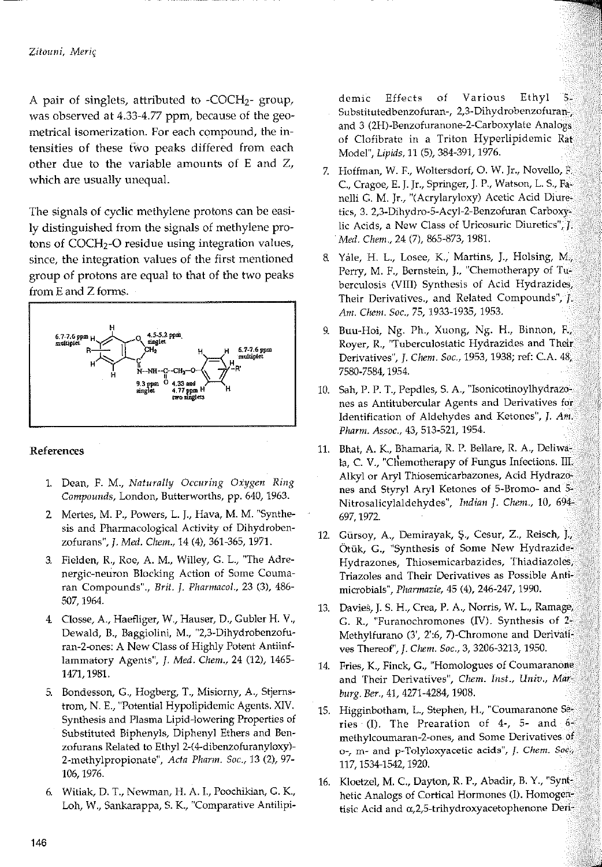A pair of singlets, attributed to -COCH<sub>2</sub>- group, was observed at 4.33-4.77 ppm, because of the geometrical isomerization. For each compound, the intensities of these two peaks differed from each other due to the variable amounts of E and Z, which are usually unequal.

The signals of cyclic methylene protons can be easily distinguished from the signals of methylene protons of COCH<sub>2</sub>-O residue using integration values, since, the integration values of the first mentioned group of protons are equal to that of the two peaks from E and Z forms.



### References

- 1. Dean, F. M., Naturally Occuring Oxygen Ring Compounds, London, Butterworths, pp. 640, 1963.
- 2 Mertes, M. P., Powers, L. J., Hava, M. M. "Synthesis and Pharmacological Activity of Dihydrobenzofurans", J. Med. Chem., 14 (4), 361-365, 1971.
- 3. Fielden, R., Roe, A. M., Willey, G. L., "The Adrenergic-neuron Blocking Action of Some Coumaran Compounds"., Brit. J. Pharmacol., 23 (3), 486-507, 1964.
- 4. Closse, A., Haefliger, W., Hauser, D., Gubler H. V., Dewald, B., Baggiolini, M., "2,3-Dihydrobenzofuran-2-ones: A New Class of Highly Potent Antiinflammatory Agents", J. Med. Chem., 24 (12), 1465-1471, 1981.
- 5. Bondesson, G., Hogberg, T., Misiorny, A., Stjernstrom, N. E., "Potential Hypolipidemic Agents. XIV. Synthesis and Plasma Lipid-lowering Properties of Substituted Biphenyls, Diphenyl Ethers and Benzofurans Related to Ethyl 2-(4-dibenzofuranyloxy)-2-methylpropionate", Acta Pharm. Soc., 13 (2), 97-106, 1976.
- 6. Witiak, D. T., Newman, H. A. I., Poochikian, G. K., Loh, W., Sankarappa, S. K., "Comparative Antilipi-

demic Effects of Various Ethyl  $5.$ Substitutedbenzofuran-, 2,3-Dihydrobenzofuran-, and 3 (2H)-Benzofuranone-2-Carboxylate Analogs of Clofibrate in a Triton Hyperlipidemic Rat Model", Lipids, 11 (5), 384-391, 1976.

- 7. Hoffman, W. F., Woltersdorf, O. W. Jr., Novello, F. C., Cragoe, E. J. Jr., Springer, J. P., Watson, L. S., Fanelli G. M. Jr., "(Acrylaryloxy) Acetic Acid Diuretics, 3. 2,3-Dihydro-5-Acyl-2-Benzofuran Carboxylic Acids, a New Class of Uricosuric Diuretics", f. Med. Chem., 24 (7), 865-873, 1981.
- 8 Yale, H. L., Losee, K., Martins, J., Holsing, M., Perry, M. F., Bernstein, J., "Chemotherapy of Tuberculosis (VIII) Synthesis of Acid Hydrazides, Their Derivatives., and Related Compounds", F Am. Chem. Soc., 75, 1933-1935, 1953.
- 9. Buu-Hoi, Ng. Ph., Xuong, Ng. H., Binnon, F. Royer, R., "Tuberculostatic Hydrazides and Their Derivatives", J. Chem. Soc., 1953, 1938; ref: C.A. 48, 7580-7584, 1954.
- 10. Sah, P. P. T., Pepdles, S. A., "Isonicotinoylhydrazones as Antitubercular Agents and Derivatives for Identification of Aldehydes and Ketones", J. Am. Pharm. Assoc., 43, 513-521, 1954.
- 11. Bhat, A. K., Bhamaria, R. P. Bellare, R. A., Deliwala, C. V., "Chemotherapy of Fungus Infections. III. Alkyl or Aryl Thiosemicarbazones, Acid Hydrazones and Styryl Aryl Ketones of 5-Bromo- and 5-Nitrosalicylaldehydes", Indian J. Chem., 10, 694-697, 1972.
- 12. Gürsoy, A., Demirayak, Ş., Cesur, Z., Reisch, J., Ötük, G., "Synthesis of Some New Hydrazide-Hydrazones, Thiosemicarbazides, Thiadiazoles, Triazoles and Their Derivatives as Possible Antimicrobials", Pharmazie, 45 (4), 246-247, 1990.
- 13. Davies, J. S. H., Crea, P. A., Norris, W. L., Ramage, G. R., "Furanochromones (IV). Synthesis of  $2\frac{3}{2}$ Methylfurano (3', 2':6, 7)-Chromone and Derivatives Thereof", J. Chem. Soc., 3, 3206-3213, 1950.
- 14. Fries, K., Finck, G., "Homologues of Coumaranone and Their Derivatives", Chem. Inst., Univ., Marburg. Ber., 41, 4271-4284, 1908.
- 15. Higginbotham, L., Stephen, H., "Coumaranone Series (I). The Prearation of 4-, 5- and  $6\%$ methylcoumaran-2-ones, and Some Derivatives of o-, m- and p-Tolyloxyacetic acids", J. Chem. Soc., 117, 1534-1542, 1920.
- 16. Kloetzel, M. C., Dayton, R. P., Abadir, B. Y., "Synthetic Analogs of Cortical Hormones (I). Homogentisic Acid and  $\alpha$ , 2,5-trihydroxyacetophenone Deri-